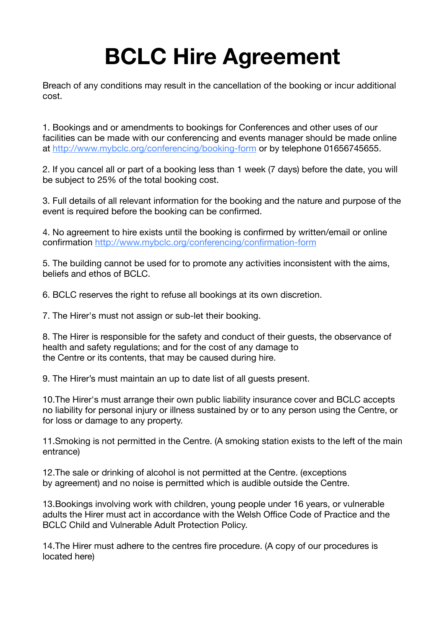## **BCLC Hire Agreement**

Breach of any conditions may result in the cancellation of the booking or incur additional cost.

1. Bookings and or amendments to bookings for Conferences and other uses of our facilities can be made with our conferencing and events manager should be made online at <http://www.mybclc.org/conferencing/booking-form> or by telephone 01656745655.

2. If you cancel all or part of a booking less than 1 week (7 days) before the date, you will be subject to 25% of the total booking cost.

3. Full details of all relevant information for the booking and the nature and purpose of the event is required before the booking can be confirmed.

4. No agreement to hire exists until the booking is confirmed by written/email or online confirmation <http://www.mybclc.org/conferencing/confirmation-form>

5. The building cannot be used for to promote any activities inconsistent with the aims, beliefs and ethos of BCLC.

6. BCLC reserves the right to refuse all bookings at its own discretion.

7. The Hirer's must not assign or sub-let their booking.

8. The Hirer is responsible for the safety and conduct of their guests, the observance of health and safety regulations; and for the cost of any damage to the Centre or its contents, that may be caused during hire.

9. The Hirer's must maintain an up to date list of all guests present.

10.The Hirer's must arrange their own public liability insurance cover and BCLC accepts no liability for personal injury or illness sustained by or to any person using the Centre, or for loss or damage to any property.

11.Smoking is not permitted in the Centre. (A smoking station exists to the left of the main entrance)

12.The sale or drinking of alcohol is not permitted at the Centre. (exceptions by agreement) and no noise is permitted which is audible outside the Centre.

13.Bookings involving work with children, young people under 16 years, or vulnerable adults the Hirer must act in accordance with the Welsh Office Code of Practice and the BCLC Child and Vulnerable Adult Protection Policy.

14.The Hirer must adhere to the centres fire procedure. (A copy of our procedures is located here)